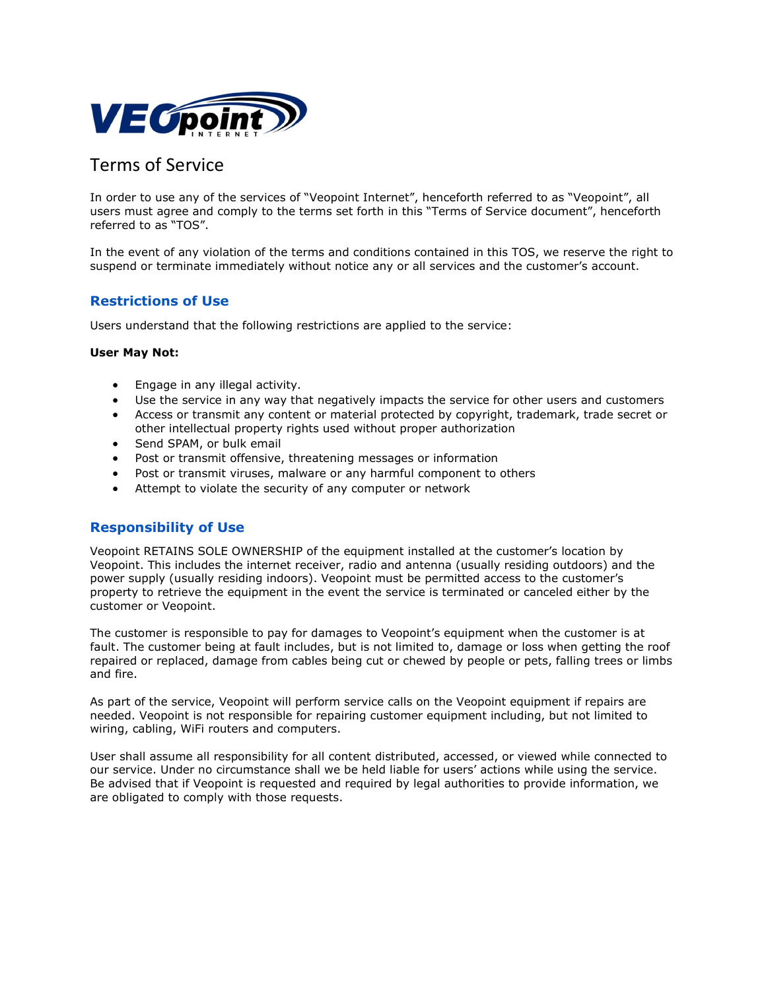

# Terms of Service

In order to use any of the services of "Veopoint Internet", henceforth referred to as "Veopoint", all users must agree and comply to the terms set forth in this "Terms of Service document", henceforth referred to as "TOS".

In the event of any violation of the terms and conditions contained in this TOS, we reserve the right to suspend or terminate immediately without notice any or all services and the customer's account.

# Restrictions of Use

Users understand that the following restrictions are applied to the service:

#### User May Not:

- Engage in any illegal activity.
- Use the service in any way that negatively impacts the service for other users and customers
- Access or transmit any content or material protected by copyright, trademark, trade secret or other intellectual property rights used without proper authorization
- Send SPAM, or bulk email
- Post or transmit offensive, threatening messages or information
- Post or transmit viruses, malware or any harmful component to others
- Attempt to violate the security of any computer or network

#### Responsibility of Use

Veopoint RETAINS SOLE OWNERSHIP of the equipment installed at the customer's location by Veopoint. This includes the internet receiver, radio and antenna (usually residing outdoors) and the power supply (usually residing indoors). Veopoint must be permitted access to the customer's property to retrieve the equipment in the event the service is terminated or canceled either by the customer or Veopoint.

The customer is responsible to pay for damages to Veopoint's equipment when the customer is at fault. The customer being at fault includes, but is not limited to, damage or loss when getting the roof repaired or replaced, damage from cables being cut or chewed by people or pets, falling trees or limbs and fire.

As part of the service, Veopoint will perform service calls on the Veopoint equipment if repairs are needed. Veopoint is not responsible for repairing customer equipment including, but not limited to wiring, cabling, WiFi routers and computers.

User shall assume all responsibility for all content distributed, accessed, or viewed while connected to our service. Under no circumstance shall we be held liable for users' actions while using the service. Be advised that if Veopoint is requested and required by legal authorities to provide information, we are obligated to comply with those requests.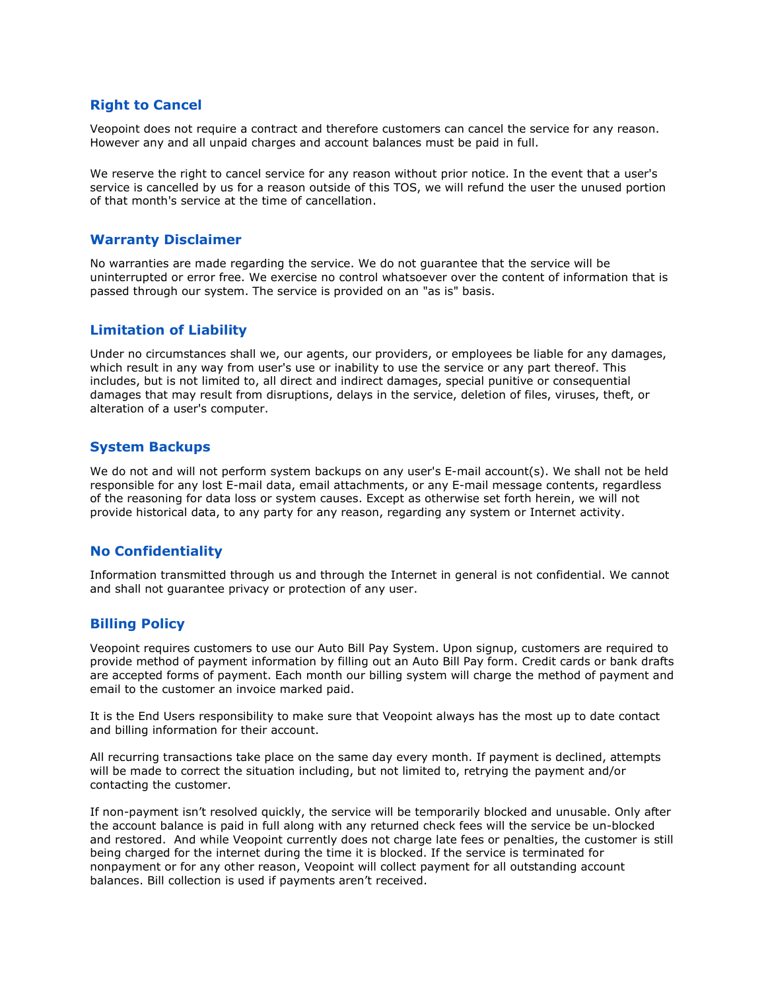### Right to Cancel

Veopoint does not require a contract and therefore customers can cancel the service for any reason. However any and all unpaid charges and account balances must be paid in full.

We reserve the right to cancel service for any reason without prior notice. In the event that a user's service is cancelled by us for a reason outside of this TOS, we will refund the user the unused portion of that month's service at the time of cancellation.

#### Warranty Disclaimer

No warranties are made regarding the service. We do not guarantee that the service will be uninterrupted or error free. We exercise no control whatsoever over the content of information that is passed through our system. The service is provided on an "as is" basis.

#### Limitation of Liability

Under no circumstances shall we, our agents, our providers, or employees be liable for any damages, which result in any way from user's use or inability to use the service or any part thereof. This includes, but is not limited to, all direct and indirect damages, special punitive or consequential damages that may result from disruptions, delays in the service, deletion of files, viruses, theft, or alteration of a user's computer.

#### System Backups

We do not and will not perform system backups on any user's E-mail account(s). We shall not be held responsible for any lost E-mail data, email attachments, or any E-mail message contents, regardless of the reasoning for data loss or system causes. Except as otherwise set forth herein, we will not provide historical data, to any party for any reason, regarding any system or Internet activity.

#### No Confidentiality

Information transmitted through us and through the Internet in general is not confidential. We cannot and shall not guarantee privacy or protection of any user.

#### Billing Policy

Veopoint requires customers to use our Auto Bill Pay System. Upon signup, customers are required to provide method of payment information by filling out an Auto Bill Pay form. Credit cards or bank drafts are accepted forms of payment. Each month our billing system will charge the method of payment and email to the customer an invoice marked paid.

It is the End Users responsibility to make sure that Veopoint always has the most up to date contact and billing information for their account.

All recurring transactions take place on the same day every month. If payment is declined, attempts will be made to correct the situation including, but not limited to, retrying the payment and/or contacting the customer.

If non-payment isn't resolved quickly, the service will be temporarily blocked and unusable. Only after the account balance is paid in full along with any returned check fees will the service be un-blocked and restored. And while Veopoint currently does not charge late fees or penalties, the customer is still being charged for the internet during the time it is blocked. If the service is terminated for nonpayment or for any other reason, Veopoint will collect payment for all outstanding account balances. Bill collection is used if payments aren't received.